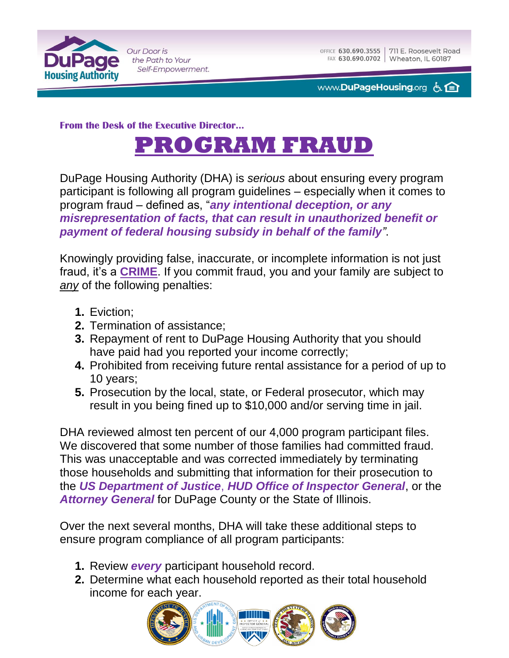

Our Door is the Path to Your Self-Empowerment.

www.**DuPageHousing**.org 占日

**From the Desk of the Executive Director…**



DuPage Housing Authority (DHA) is *serious* about ensuring every program participant is following all program guidelines – especially when it comes to program fraud – defined as, "*any intentional deception, or any misrepresentation of facts, that can result in unauthorized benefit or payment of federal housing subsidy in behalf of the family"*.

Knowingly providing false, inaccurate, or incomplete information is not just fraud, it's a **CRIME**. If you commit fraud, you and your family are subject to *any* of the following penalties:

- **1.** Eviction;
- **2.** Termination of assistance;
- **3.** Repayment of rent to DuPage Housing Authority that you should have paid had you reported your income correctly;
- **4.** Prohibited from receiving future rental assistance for a period of up to 10 years;
- **5.** Prosecution by the local, state, or Federal prosecutor, which may result in you being fined up to \$10,000 and/or serving time in jail.

DHA reviewed almost ten percent of our 4,000 program participant files. We discovered that some number of those families had committed fraud. This was unacceptable and was corrected immediately by terminating those households and submitting that information for their prosecution to the *US Department of Justice*, *HUD Office of Inspector General*, or the *Attorney General* for DuPage County or the State of Illinois.

Over the next several months, DHA will take these additional steps to ensure program compliance of all program participants:

- **1.** Review *every* participant household record.
- **2.** Determine what each household reported as their total household income for each year.